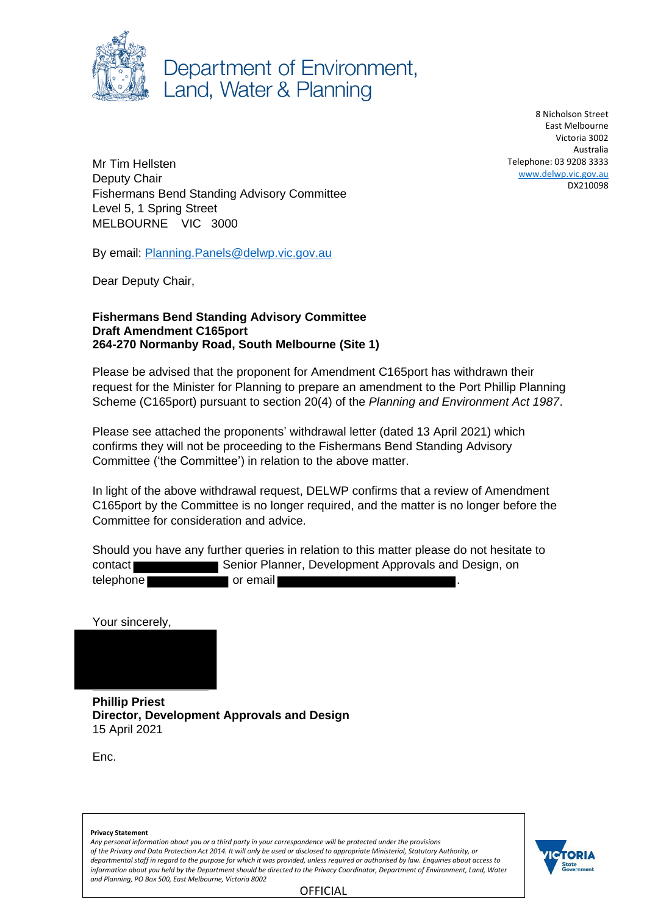

Department of Environment, Land, Water & Planning

> 8 Nicholson Street East Melbourne Victoria 3002 Australia Telephone: 03 9208 3333 [www.delwp.vic.gov.au](http://www.delwp.vic.gov.au/) DX210098

Mr Tim Hellsten Deputy Chair Fishermans Bend Standing Advisory Committee Level 5, 1 Spring Street MELBOURNE VIC 3000

By email: [Planning.Panels@delwp.vic.gov.au](mailto:Planning.Panels@delwp.vic.gov.au)

Dear Deputy Chair,

## **Fishermans Bend Standing Advisory Committee Draft Amendment C165port 264-270 Normanby Road, South Melbourne (Site 1)**

Please be advised that the proponent for Amendment C165port has withdrawn their request for the Minister for Planning to prepare an amendment to the Port Phillip Planning Scheme (C165port) pursuant to section 20(4) of the *Planning and Environment Act 1987*.

Please see attached the proponents' withdrawal letter (dated 13 April 2021) which confirms they will not be proceeding to the Fishermans Bend Standing Advisory Committee ('the Committee') in relation to the above matter.

In light of the above withdrawal request, DELWP confirms that a review of Amendment C165port by the Committee is no longer required, and the matter is no longer before the Committee for consideration and advice.

Should you have any further queries in relation to this matter please do not hesitate to contact Senior Planner, Development Approvals and Design, on telephone or email

Your sincerely,

**Phillip Priest Director, Development Approvals and Design** 15 April 2021

Enc.

## **Privacy Statement**

*Any personal information about you or a third party in your correspondence will be protected under the provisions of the Privacy and Data Protection Act 2014. It will only be used or disclosed to appropriate Ministerial, Statutory Authority, or departmental staff in regard to the purpose for which it was provided, unless required or authorised by law. Enquiries about access to information about you held by the Department should be directed to the Privacy Coordinator, Department of Environment, Land, Water and Planning, PO Box 500, East Melbourne, Victoria 8002*